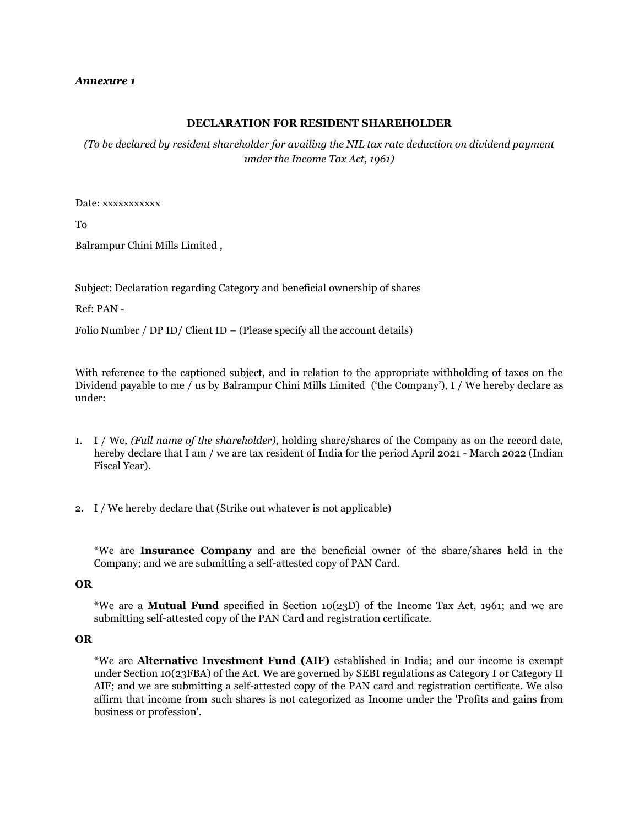#### *Annexure 1*

## **DECLARATION FOR RESIDENT SHAREHOLDER**

*(To be declared by resident shareholder for availing the NIL tax rate deduction on dividend payment under the Income Tax Act, 1961)*

Date: xxxxxxxxxxx

To

Balrampur Chini Mills Limited ,

Subject: Declaration regarding Category and beneficial ownership of shares

Ref: PAN -

Folio Number / DP ID/ Client ID – (Please specify all the account details)

With reference to the captioned subject, and in relation to the appropriate withholding of taxes on the Dividend payable to me / us by Balrampur Chini Mills Limited ('the Company'), I / We hereby declare as under:

- 1. I / We, *(Full name of the shareholder)*, holding share/shares of the Company as on the record date, hereby declare that I am / we are tax resident of India for the period April 2021 - March 2022 (Indian Fiscal Year).
- 2. I / We hereby declare that (Strike out whatever is not applicable)

\*We are **Insurance Company** and are the beneficial owner of the share/shares held in the Company; and we are submitting a self-attested copy of PAN Card.

## **OR**

\*We are a **Mutual Fund** specified in Section 10(23D) of the Income Tax Act, 1961; and we are submitting self-attested copy of the PAN Card and registration certificate.

#### **OR**

\*We are **Alternative Investment Fund (AIF)** established in India; and our income is exempt under Section 10(23FBA) of the Act. We are governed by SEBI regulations as Category I or Category II AIF; and we are submitting a self-attested copy of the PAN card and registration certificate. We also affirm that income from such shares is not categorized as Income under the 'Profits and gains from business or profession'.